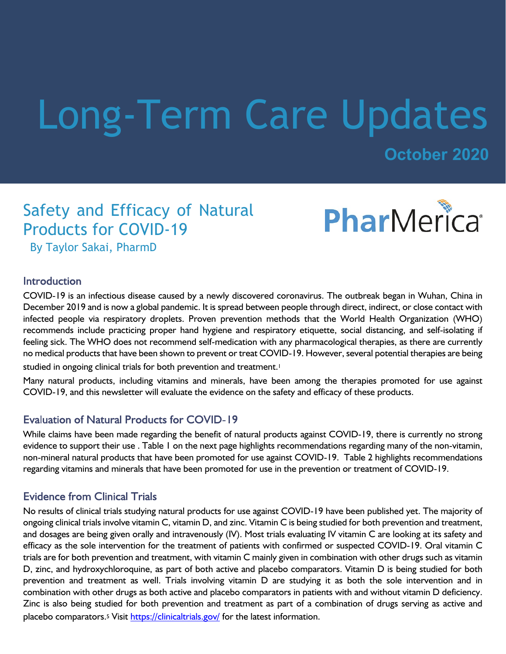# Long-Term Care Updates

**October 2020**

# Safety and Efficacy of Natural Products for COVID-19



By Taylor Sakai, PharmD

## **Introduction**

COVID-19 is an infectious disease caused by a newly discovered coronavirus. The outbreak began in Wuhan, China in December 2019 and is now a global pandemic. It is spread between people through direct, indirect, or close contact with infected people via respiratory droplets. Proven prevention methods that the World Health Organization (WHO) recommends include practicing proper hand hygiene and respiratory etiquette, social distancing, and self-isolating if feeling sick. The WHO does not recommend self-medication with any pharmacological therapies, as there are currently no medical products that have been shown to prevent or treat COVID-19. However, several potential therapies are being studied in ongoing clinical trials for both prevention and treatment.<sup>1</sup>

Many natural products, including vitamins and minerals, have been among the therapies promoted for use against COVID-19, and this newsletter will evaluate the evidence on the safety and efficacy of these products.

# **Evaluation of Natural Products for COVID-19**

While claims have been made regarding the benefit of natural products against COVID-19, there is currently no strong evidence to support their use . Table 1 on the next page highlights recommendations regarding many of the non-vitamin, non-mineral natural products that have been promoted for use against COVID-19. Table 2 highlights recommendations regarding vitamins and minerals that have been promoted for use in the prevention or treatment of COVID-19.

# **Evidence from Clinical Trials**

No results of clinical trials studying natural products for use against COVID-19 have been published yet. The majority of ongoing clinical trials involve vitamin C, vitamin D, and zinc. Vitamin C is being studied for both prevention and treatment, and dosages are being given orally and intravenously (IV). Most trials evaluating IV vitamin C are looking at its safety and efficacy as the sole intervention for the treatment of patients with confirmed or suspected COVID-19. Oral vitamin C trials are for both prevention and treatment, with vitamin C mainly given in combination with other drugs such as vitamin D, zinc, and hydroxychloroquine, as part of both active and placebo comparators. Vitamin D is being studied for both prevention and treatment as well. Trials involving vitamin D are studying it as both the sole intervention and in combination with other drugs as both active and placebo comparators in patients with and without vitamin D deficiency. Zinc is also being studied for both prevention and treatment as part of a combination of drugs serving as active and placebo comparators.<sup>5</sup> Visit https://clinicaltrials.gov/ for the latest information.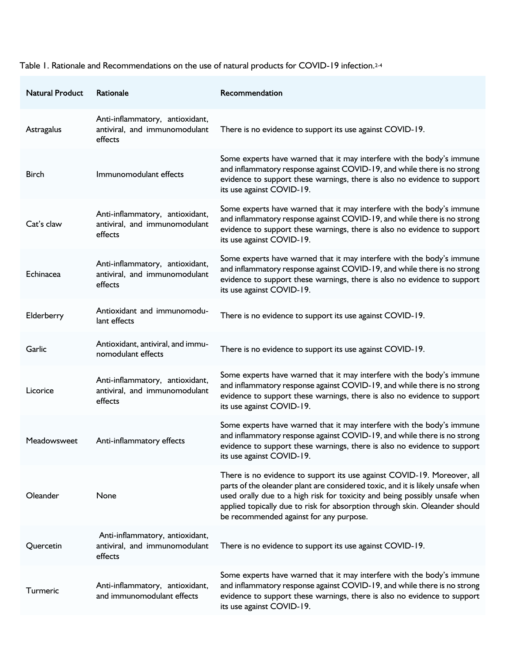Table 1. Rationale and Recommendations on the use of natural products for COVID-19 infection.2-4

| <b>Natural Product</b> | Rationale                                                                   | Recommendation                                                                                                                                                                                                                                                                                                                                                   |
|------------------------|-----------------------------------------------------------------------------|------------------------------------------------------------------------------------------------------------------------------------------------------------------------------------------------------------------------------------------------------------------------------------------------------------------------------------------------------------------|
| Astragalus             | Anti-inflammatory, antioxidant,<br>antiviral, and immunomodulant<br>effects | There is no evidence to support its use against COVID-19.                                                                                                                                                                                                                                                                                                        |
| <b>Birch</b>           | Immunomodulant effects                                                      | Some experts have warned that it may interfere with the body's immune<br>and inflammatory response against COVID-19, and while there is no strong<br>evidence to support these warnings, there is also no evidence to support<br>its use against COVID-19.                                                                                                       |
| Cat's claw             | Anti-inflammatory, antioxidant,<br>antiviral, and immunomodulant<br>effects | Some experts have warned that it may interfere with the body's immune<br>and inflammatory response against COVID-19, and while there is no strong<br>evidence to support these warnings, there is also no evidence to support<br>its use against COVID-19.                                                                                                       |
| Echinacea              | Anti-inflammatory, antioxidant,<br>antiviral, and immunomodulant<br>effects | Some experts have warned that it may interfere with the body's immune<br>and inflammatory response against COVID-19, and while there is no strong<br>evidence to support these warnings, there is also no evidence to support<br>its use against COVID-19.                                                                                                       |
| Elderberry             | Antioxidant and immunomodu-<br>lant effects                                 | There is no evidence to support its use against COVID-19.                                                                                                                                                                                                                                                                                                        |
| Garlic                 | Antioxidant, antiviral, and immu-<br>nomodulant effects                     | There is no evidence to support its use against COVID-19.                                                                                                                                                                                                                                                                                                        |
| Licorice               | Anti-inflammatory, antioxidant,<br>antiviral, and immunomodulant<br>effects | Some experts have warned that it may interfere with the body's immune<br>and inflammatory response against COVID-19, and while there is no strong<br>evidence to support these warnings, there is also no evidence to support<br>its use against COVID-19.                                                                                                       |
| Meadowsweet            | Anti-inflammatory effects                                                   | Some experts have warned that it may interfere with the body's immune<br>and inflammatory response against COVID-19, and while there is no strong<br>evidence to support these warnings, there is also no evidence to support<br>its use against COVID-19.                                                                                                       |
| Oleander               | None                                                                        | There is no evidence to support its use against COVID-19. Moreover, all<br>parts of the oleander plant are considered toxic, and it is likely unsafe when<br>used orally due to a high risk for toxicity and being possibly unsafe when<br>applied topically due to risk for absorption through skin. Oleander should<br>be recommended against for any purpose. |
| Quercetin              | Anti-inflammatory, antioxidant,<br>antiviral, and immunomodulant<br>effects | There is no evidence to support its use against COVID-19.                                                                                                                                                                                                                                                                                                        |
| Turmeric               | Anti-inflammatory, antioxidant,<br>and immunomodulant effects               | Some experts have warned that it may interfere with the body's immune<br>and inflammatory response against COVID-19, and while there is no strong<br>evidence to support these warnings, there is also no evidence to support<br>its use against COVID-19.                                                                                                       |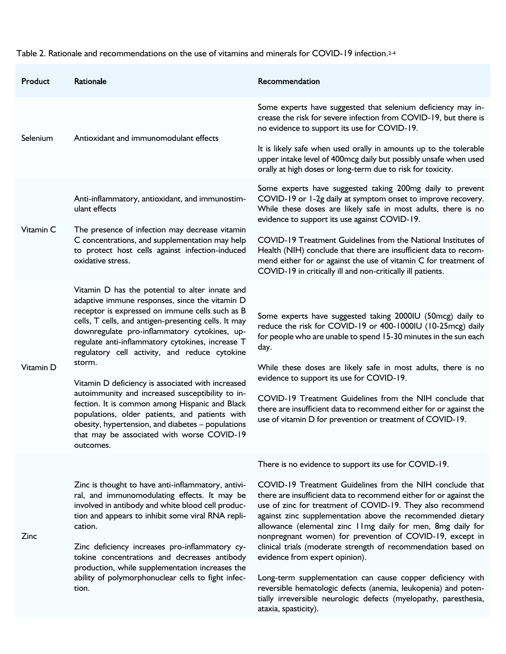#### Table 2. Rationale and recommendations on the use of vitamins and minerals for COVID-19 infection.2-4

| Product   | Rationale                                                                                                                                                                                                                                                                                                                                                                                                                                                                                                                                                                                                                                                                                                | Recommendation                                                                                                                                                                                                                                                                                                                                                                                                                                                                                                                                                                                                                                                                                                        |
|-----------|----------------------------------------------------------------------------------------------------------------------------------------------------------------------------------------------------------------------------------------------------------------------------------------------------------------------------------------------------------------------------------------------------------------------------------------------------------------------------------------------------------------------------------------------------------------------------------------------------------------------------------------------------------------------------------------------------------|-----------------------------------------------------------------------------------------------------------------------------------------------------------------------------------------------------------------------------------------------------------------------------------------------------------------------------------------------------------------------------------------------------------------------------------------------------------------------------------------------------------------------------------------------------------------------------------------------------------------------------------------------------------------------------------------------------------------------|
| Selenium  | Antioxidant and immunomodulant effects                                                                                                                                                                                                                                                                                                                                                                                                                                                                                                                                                                                                                                                                   | Some experts have suggested that selenium deficiency may in-<br>crease the risk for severe infection from COVID-19, but there is<br>no evidence to support its use for COVID-19.                                                                                                                                                                                                                                                                                                                                                                                                                                                                                                                                      |
|           |                                                                                                                                                                                                                                                                                                                                                                                                                                                                                                                                                                                                                                                                                                          | It is likely safe when used orally in amounts up to the tolerable<br>upper intake level of 400mcg daily but possibly unsafe when used<br>orally at high doses or long-term due to risk for toxicity.                                                                                                                                                                                                                                                                                                                                                                                                                                                                                                                  |
| Vitamin C | Anti-inflammatory, antioxidant, and immunostim-<br>ulant effects<br>The presence of infection may decrease vitamin<br>C concentrations, and supplementation may help<br>to protect host cells against infection-induced<br>oxidative stress.                                                                                                                                                                                                                                                                                                                                                                                                                                                             | Some experts have suggested taking 200mg daily to prevent<br>COVID-19 or 1-2g daily at symptom onset to improve recovery.<br>While these doses are likely safe in most adults, there is no<br>evidence to support its use against COVID-19.                                                                                                                                                                                                                                                                                                                                                                                                                                                                           |
|           |                                                                                                                                                                                                                                                                                                                                                                                                                                                                                                                                                                                                                                                                                                          | COVID-19 Treatment Guidelines from the National Institutes of<br>Health (NIH) conclude that there are insufficient data to recom-<br>mend either for or against the use of vitamin C for treatment of<br>COVID-19 in critically ill and non-critically ill patients.                                                                                                                                                                                                                                                                                                                                                                                                                                                  |
| Vitamin D | Vitamin D has the potential to alter innate and<br>adaptive immune responses, since the vitamin D<br>receptor is expressed on immune cells such as B<br>cells, T cells, and antigen-presenting cells. It may<br>downregulate pro-inflammatory cytokines, up-<br>regulate anti-inflammatory cytokines, increase T<br>regulatory cell activity, and reduce cytokine<br>storm.<br>Vitamin D deficiency is associated with increased<br>autoimmunity and increased susceptibility to in-<br>fection. It is common among Hispanic and Black<br>populations, older patients, and patients with<br>obesity, hypertension, and diabetes - populations<br>that may be associated with worse COVID-19<br>outcomes. | Some experts have suggested taking 2000IU (50mcg) daily to<br>reduce the risk for COVID-19 or 400-1000IU (10-25mcg) daily<br>for people who are unable to spend 15-30 minutes in the sun each<br>day.<br>While these doses are likely safe in most adults, there is no<br>evidence to support its use for COVID-19.<br>COVID-19 Treatment Guidelines from the NIH conclude that<br>there are insufficient data to recommend either for or against the<br>use of vitamin D for prevention or treatment of COVID-19.                                                                                                                                                                                                    |
|           |                                                                                                                                                                                                                                                                                                                                                                                                                                                                                                                                                                                                                                                                                                          | There is no evidence to support its use for COVID-19.                                                                                                                                                                                                                                                                                                                                                                                                                                                                                                                                                                                                                                                                 |
| Zinc      | Zinc is thought to have anti-inflammatory, antivi-<br>ral, and immunomodulating effects. It may be<br>involved in antibody and white blood cell produc-<br>tion and appears to inhibit some viral RNA repli-<br>cation.<br>Zinc deficiency increases pro-inflammatory cy-<br>tokine concentrations and decreases antibody<br>production, while supplementation increases the<br>ability of polymorphonuclear cells to fight infec-<br>tion.                                                                                                                                                                                                                                                              | COVID-19 Treatment Guidelines from the NIH conclude that<br>there are insufficient data to recommend either for or against the<br>use of zinc for treatment of COVID-19. They also recommend<br>against zinc supplementation above the recommended dietary<br>allowance (elemental zinc I lmg daily for men, 8mg daily for<br>nonpregnant women) for prevention of COVID-19, except in<br>clinical trials (moderate strength of recommendation based on<br>evidence from expert opinion).<br>Long-term supplementation can cause copper deficiency with<br>reversible hematologic defects (anemia, leukopenia) and poten-<br>tially irreversible neurologic defects (myelopathy, paresthesia,<br>ataxia, spasticity). |